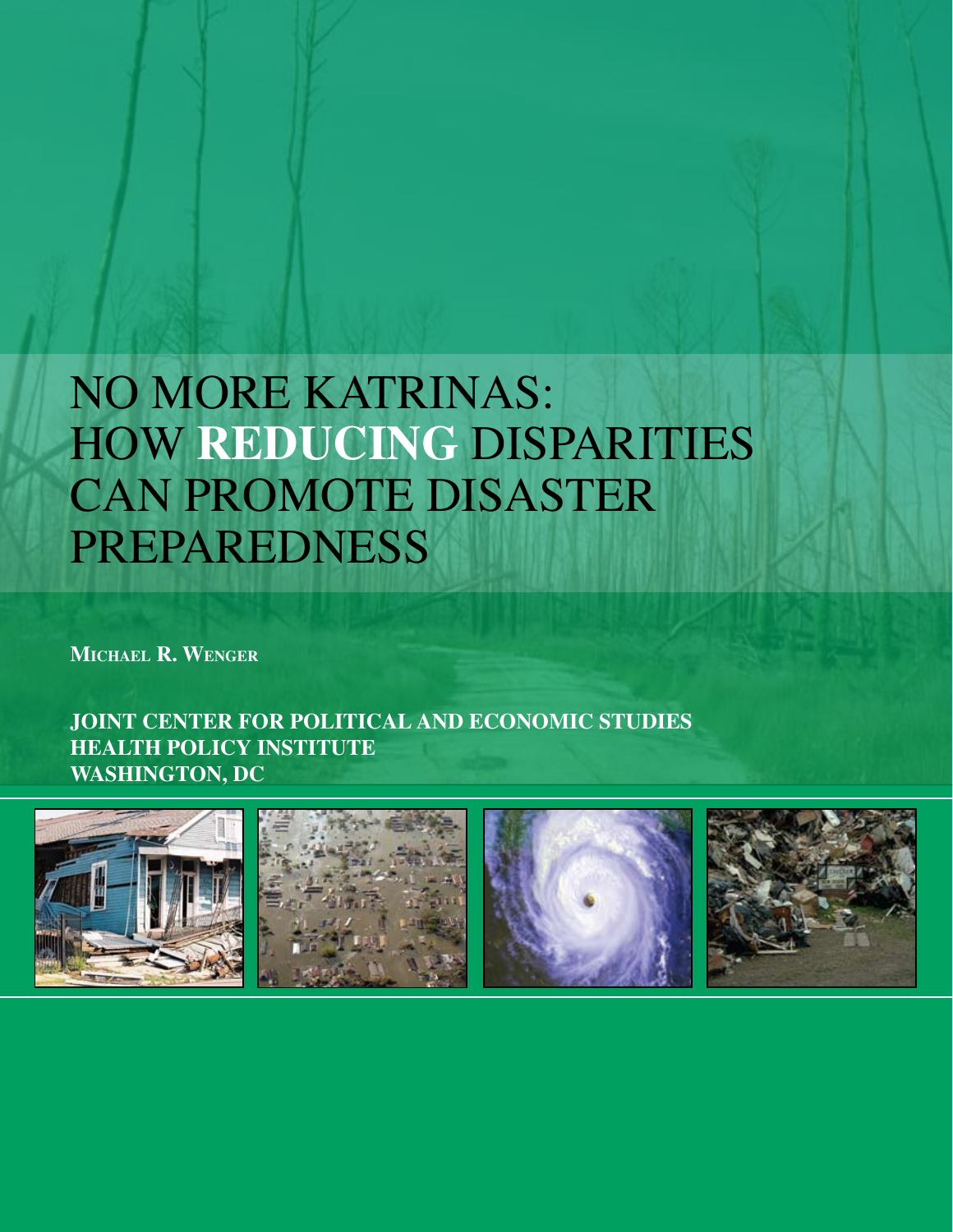# NO MORE KATRINAS: How **reducing** disparities can promote disaster **PREPAREDNESS**

**Michael R. Wenger**

**JOINT CENTER FOR POLITICAL AND ECONOMIC STUDIES HEALTH POLICY INSTITUTE WASHINGTON, DC**

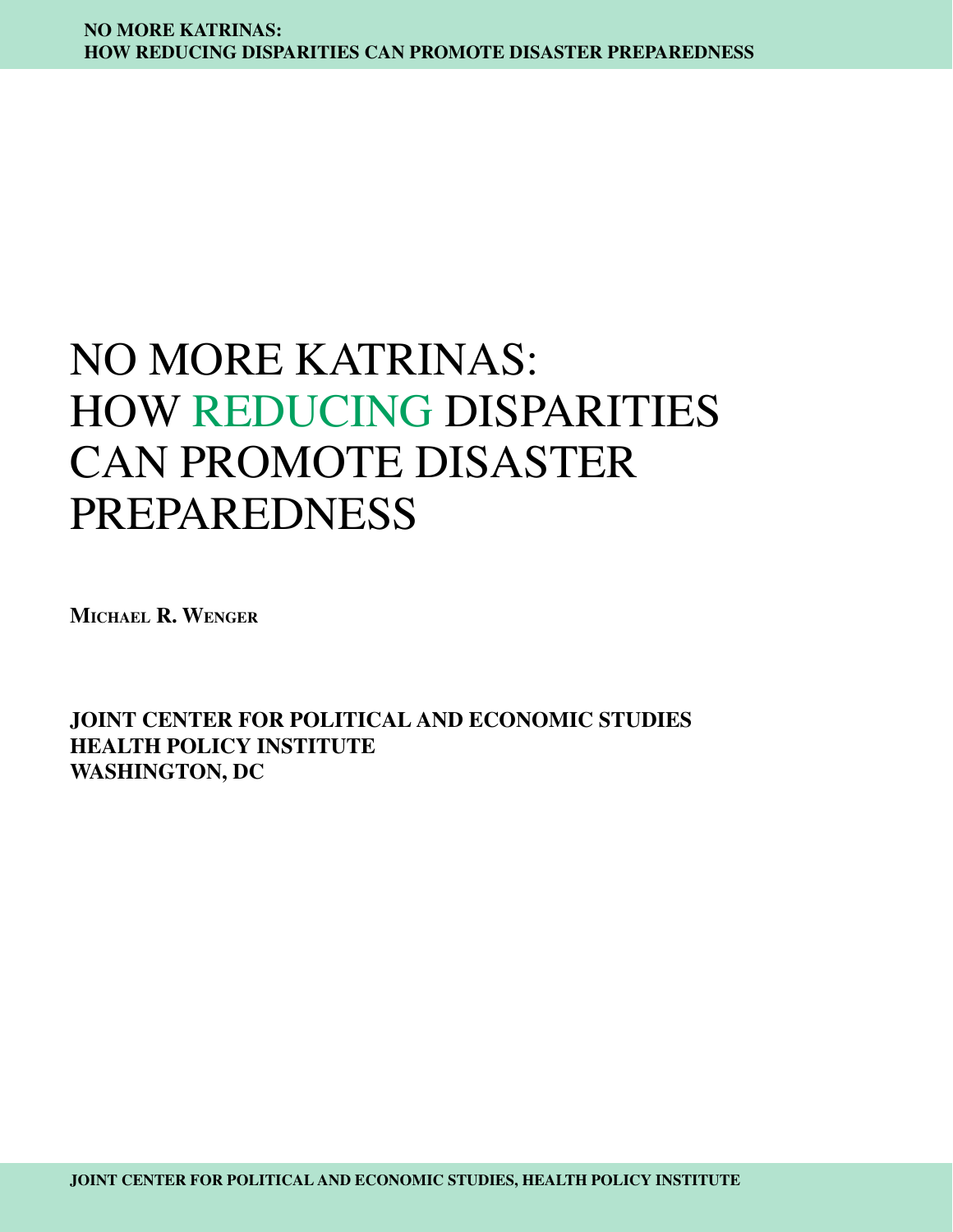# No more Katrinas: How reducing disparities can promote disaster preparedness

**Michael R. Wenger**

**JOINT CENTER FOR POLITICAL AND ECONOMIC STUDIES HEALTH POLICY INSTITUTE WASHINGTON, DC**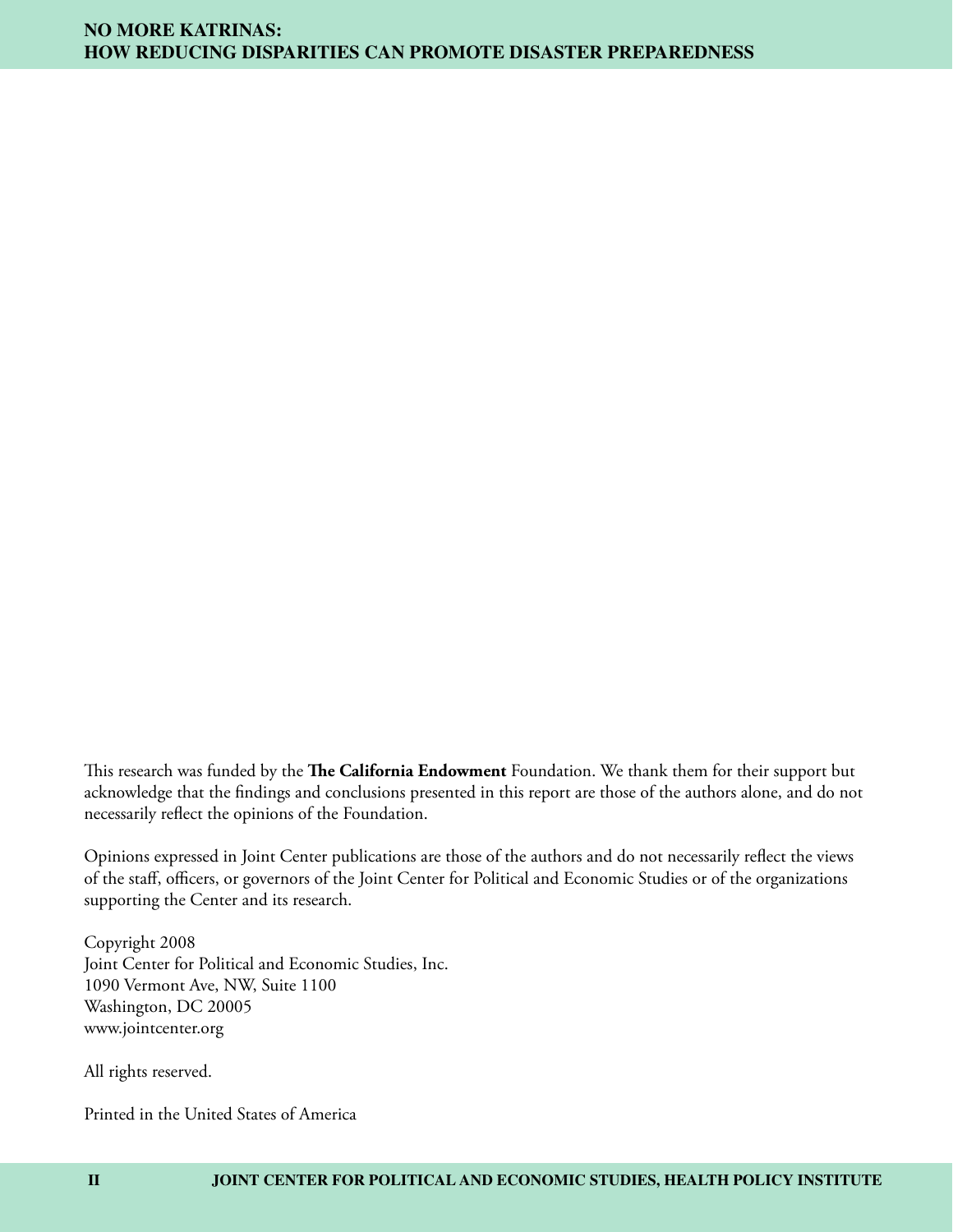This research was funded by the **The California Endowment** Foundation. We thank them for their support but acknowledge that the findings and conclusions presented in this report are those of the authors alone, and do not necessarily reflect the opinions of the Foundation.

Opinions expressed in Joint Center publications are those of the authors and do not necessarily reflect the views of the staff, officers, or governors of the Joint Center for Political and Economic Studies or of the organizations supporting the Center and its research.

Copyright 2008 Joint Center for Political and Economic Studies, Inc. 1090 Vermont Ave, NW, Suite 1100 Washington, DC 20005 www.jointcenter.org

All rights reserved.

Printed in the United States of America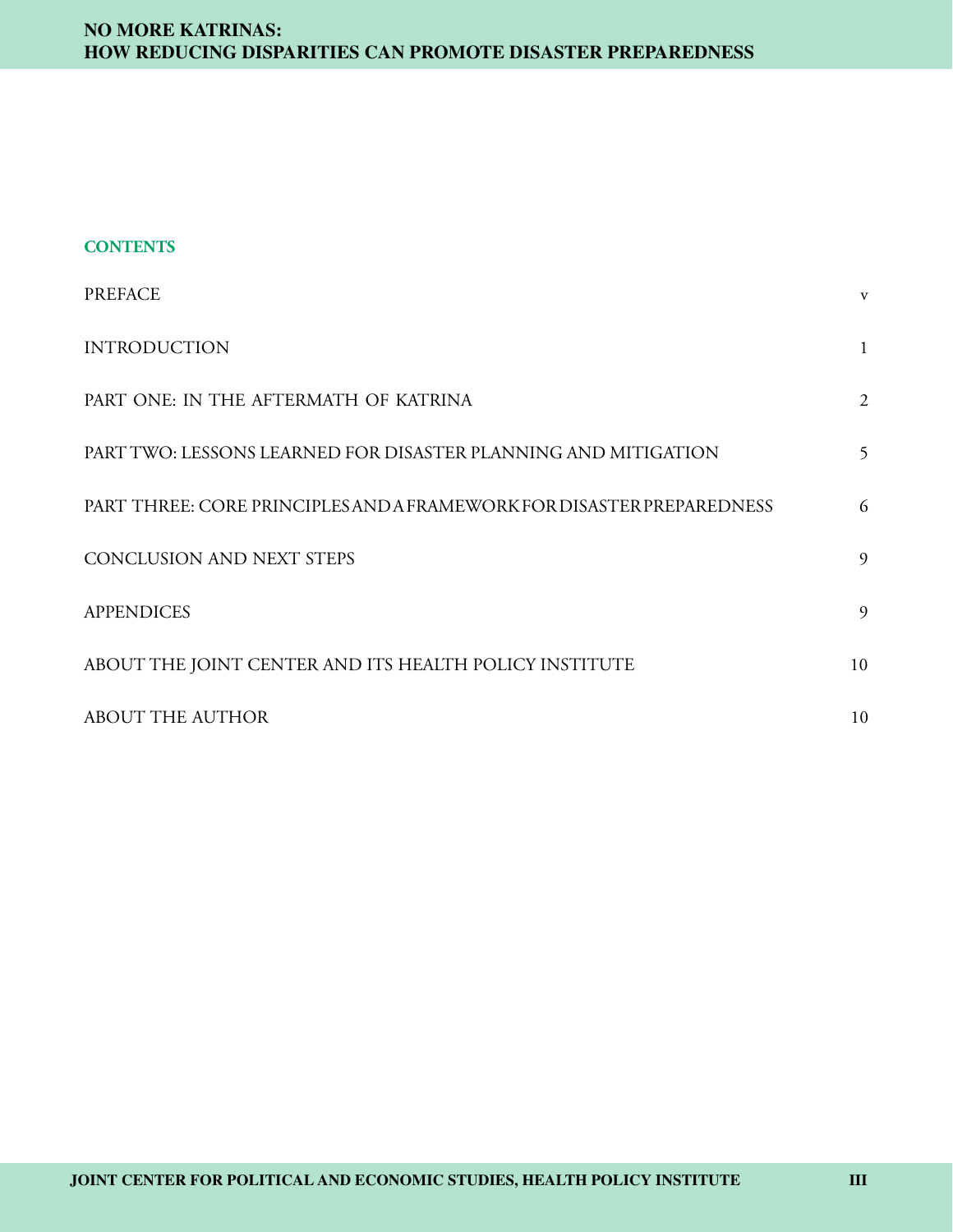| <b>CONTENTS</b> |
|-----------------|
|-----------------|

| <b>PREFACE</b>                                                        | V              |
|-----------------------------------------------------------------------|----------------|
| <b>INTRODUCTION</b>                                                   | $\mathbf{1}$   |
| PART ONE: IN THE AFTERMATH OF KATRINA                                 | $\overline{2}$ |
| PART TWO: LESSONS LEARNED FOR DISASTER PLANNING AND MITIGATION        | 5              |
| PART THREE: CORE PRINCIPLES AND A FRAMEWORK FOR DISASTER PREPAREDNESS | 6              |
| <b>CONCLUSION AND NEXT STEPS</b>                                      | 9              |
| <b>APPENDICES</b>                                                     | 9              |
| ABOUT THE JOINT CENTER AND ITS HEALTH POLICY INSTITUTE                | 10             |
| <b>ABOUT THE AUTHOR</b>                                               | 10             |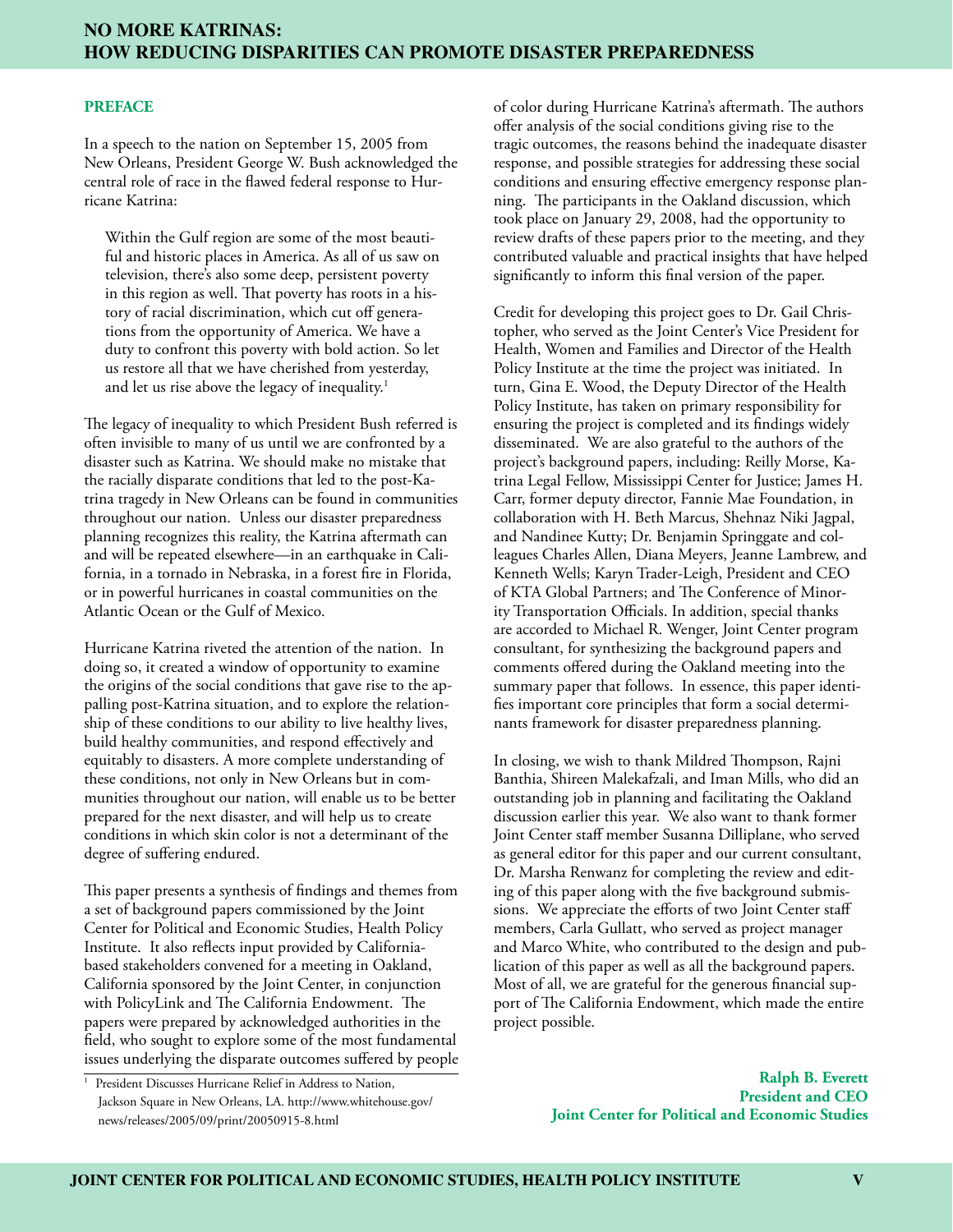#### **PREFACE**

In a speech to the nation on September 15, 2005 from New Orleans, President George W. Bush acknowledged the central role of race in the flawed federal response to Hurricane Katrina:

Within the Gulf region are some of the most beautiful and historic places in America. As all of us saw on television, there's also some deep, persistent poverty in this region as well. That poverty has roots in a history of racial discrimination, which cut off generations from the opportunity of America. We have a duty to confront this poverty with bold action. So let us restore all that we have cherished from yesterday, and let us rise above the legacy of inequality.<sup>1</sup>

The legacy of inequality to which President Bush referred is often invisible to many of us until we are confronted by a disaster such as Katrina. We should make no mistake that the racially disparate conditions that led to the post-Katrina tragedy in New Orleans can be found in communities throughout our nation. Unless our disaster preparedness planning recognizes this reality, the Katrina aftermath can and will be repeated elsewhere—in an earthquake in California, in a tornado in Nebraska, in a forest fire in Florida, or in powerful hurricanes in coastal communities on the Atlantic Ocean or the Gulf of Mexico.

Hurricane Katrina riveted the attention of the nation. In doing so, it created a window of opportunity to examine the origins of the social conditions that gave rise to the appalling post-Katrina situation, and to explore the relationship of these conditions to our ability to live healthy lives, build healthy communities, and respond effectively and equitably to disasters. A more complete understanding of these conditions, not only in New Orleans but in communities throughout our nation, will enable us to be better prepared for the next disaster, and will help us to create conditions in which skin color is not a determinant of the degree of suffering endured.

This paper presents a synthesis of findings and themes from a set of background papers commissioned by the Joint Center for Political and Economic Studies, Health Policy Institute. It also reflects input provided by Californiabased stakeholders convened for a meeting in Oakland, California sponsored by the Joint Center, in conjunction with PolicyLink and The California Endowment. The papers were prepared by acknowledged authorities in the field, who sought to explore some of the most fundamental issues underlying the disparate outcomes suffered by people of color during Hurricane Katrina's aftermath. The authors offer analysis of the social conditions giving rise to the tragic outcomes, the reasons behind the inadequate disaster response, and possible strategies for addressing these social conditions and ensuring effective emergency response planning. The participants in the Oakland discussion, which took place on January 29, 2008, had the opportunity to review drafts of these papers prior to the meeting, and they contributed valuable and practical insights that have helped significantly to inform this final version of the paper.

Credit for developing this project goes to Dr. Gail Christopher, who served as the Joint Center's Vice President for Health, Women and Families and Director of the Health Policy Institute at the time the project was initiated. In turn, Gina E. Wood, the Deputy Director of the Health Policy Institute, has taken on primary responsibility for ensuring the project is completed and its findings widely disseminated. We are also grateful to the authors of the project's background papers, including: Reilly Morse, Katrina Legal Fellow, Mississippi Center for Justice; James H. Carr, former deputy director, Fannie Mae Foundation, in collaboration with H. Beth Marcus, Shehnaz Niki Jagpal, and Nandinee Kutty; Dr. Benjamin Springgate and colleagues Charles Allen, Diana Meyers, Jeanne Lambrew, and Kenneth Wells; Karyn Trader-Leigh, President and CEO of KTA Global Partners; and The Conference of Minority Transportation Officials. In addition, special thanks are accorded to Michael R. Wenger, Joint Center program consultant, for synthesizing the background papers and comments offered during the Oakland meeting into the summary paper that follows. In essence, this paper identifies important core principles that form a social determinants framework for disaster preparedness planning.

In closing, we wish to thank Mildred Thompson, Rajni Banthia, Shireen Malekafzali, and Iman Mills, who did an outstanding job in planning and facilitating the Oakland discussion earlier this year. We also want to thank former Joint Center staff member Susanna Dilliplane, who served as general editor for this paper and our current consultant, Dr. Marsha Renwanz for completing the review and editing of this paper along with the five background submissions. We appreciate the efforts of two Joint Center staff members, Carla Gullatt, who served as project manager and Marco White, who contributed to the design and publication of this paper as well as all the background papers. Most of all, we are grateful for the generous financial support of The California Endowment, which made the entire project possible.

<sup>&</sup>lt;sup>1</sup> President Discusses Hurricane Relief in Address to Nation, Jackson Square in New Orleans, LA. http://www.whitehouse.gov/ news/releases/2005/09/print/20050915-8.html

**Ralph B. Everett President and CEO Joint Center for Political and Economic Studies**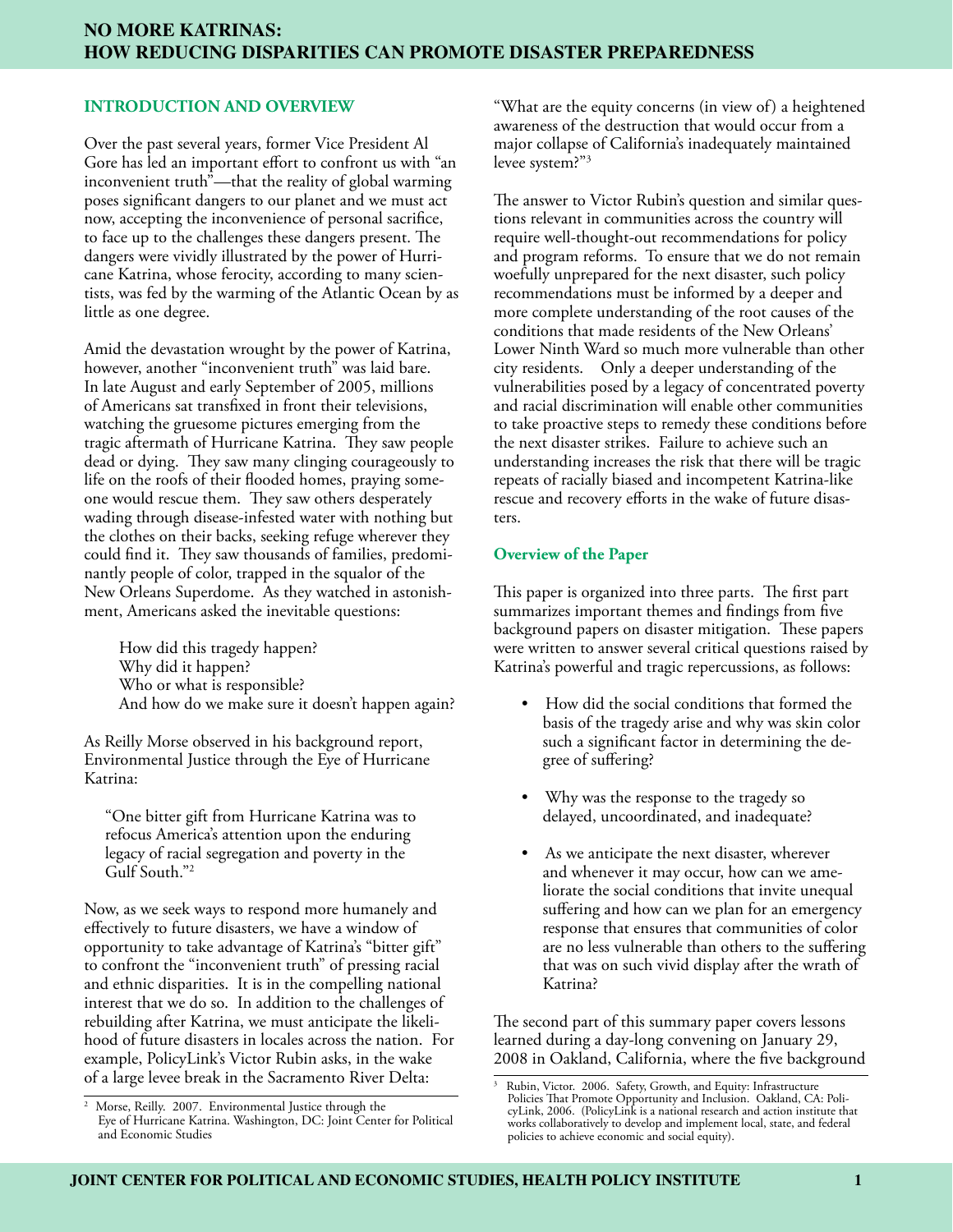## **INTRODUCTION AND OVERVIEW**

Over the past several years, former Vice President Al Gore has led an important effort to confront us with "an inconvenient truth"—that the reality of global warming poses significant dangers to our planet and we must act now, accepting the inconvenience of personal sacrifice, to face up to the challenges these dangers present. The dangers were vividly illustrated by the power of Hurricane Katrina, whose ferocity, according to many scientists, was fed by the warming of the Atlantic Ocean by as little as one degree.

Amid the devastation wrought by the power of Katrina, however, another "inconvenient truth" was laid bare. In late August and early September of 2005, millions of Americans sat transfixed in front their televisions, watching the gruesome pictures emerging from the tragic aftermath of Hurricane Katrina. They saw people dead or dying. They saw many clinging courageously to life on the roofs of their flooded homes, praying someone would rescue them. They saw others desperately wading through disease-infested water with nothing but the clothes on their backs, seeking refuge wherever they could find it. They saw thousands of families, predominantly people of color, trapped in the squalor of the New Orleans Superdome. As they watched in astonishment, Americans asked the inevitable questions:

How did this tragedy happen? Why did it happen? Who or what is responsible? And how do we make sure it doesn't happen again?

As Reilly Morse observed in his background report, Environmental Justice through the Eye of Hurricane Katrina:

"One bitter gift from Hurricane Katrina was to refocus America's attention upon the enduring legacy of racial segregation and poverty in the Gulf South."2

Now, as we seek ways to respond more humanely and effectively to future disasters, we have a window of opportunity to take advantage of Katrina's "bitter gift" to confront the "inconvenient truth" of pressing racial and ethnic disparities. It is in the compelling national interest that we do so. In addition to the challenges of rebuilding after Katrina, we must anticipate the likelihood of future disasters in locales across the nation. For example, PolicyLink's Victor Rubin asks, in the wake of a large levee break in the Sacramento River Delta:

"What are the equity concerns (in view of) a heightened awareness of the destruction that would occur from a major collapse of California's inadequately maintained levee system?"3

The answer to Victor Rubin's question and similar questions relevant in communities across the country will require well-thought-out recommendations for policy and program reforms. To ensure that we do not remain woefully unprepared for the next disaster, such policy recommendations must be informed by a deeper and more complete understanding of the root causes of the conditions that made residents of the New Orleans' Lower Ninth Ward so much more vulnerable than other city residents. Only a deeper understanding of the vulnerabilities posed by a legacy of concentrated poverty and racial discrimination will enable other communities to take proactive steps to remedy these conditions before the next disaster strikes. Failure to achieve such an understanding increases the risk that there will be tragic repeats of racially biased and incompetent Katrina-like rescue and recovery efforts in the wake of future disasters.

#### **Overview of the Paper**

This paper is organized into three parts. The first part summarizes important themes and findings from five background papers on disaster mitigation. These papers were written to answer several critical questions raised by Katrina's powerful and tragic repercussions, as follows:

- How did the social conditions that formed the basis of the tragedy arise and why was skin color such a significant factor in determining the degree of suffering?
- Why was the response to the tragedy so delayed, uncoordinated, and inadequate?
- As we anticipate the next disaster, wherever and whenever it may occur, how can we ameliorate the social conditions that invite unequal suffering and how can we plan for an emergency response that ensures that communities of color are no less vulnerable than others to the suffering that was on such vivid display after the wrath of Katrina?

The second part of this summary paper covers lessons learned during a day-long convening on January 29, 2008 in Oakland, California, where the five background

<sup>&</sup>lt;sup>2</sup> Morse, Reilly. 2007. Environmental Justice through the Eye of Hurricane Katrina. Washington, DC: Joint Center for Political and Economic Studies

<sup>3</sup> Rubin, Victor. 2006. Safety, Growth, and Equity: Infrastructure Policies That Promote Opportunity and Inclusion. Oakland, CA: PolicyLink, 2006. (PolicyLink is a national research and action institute that works collaboratively to develop and implement local, state, and federal policies to achieve economic and social equity).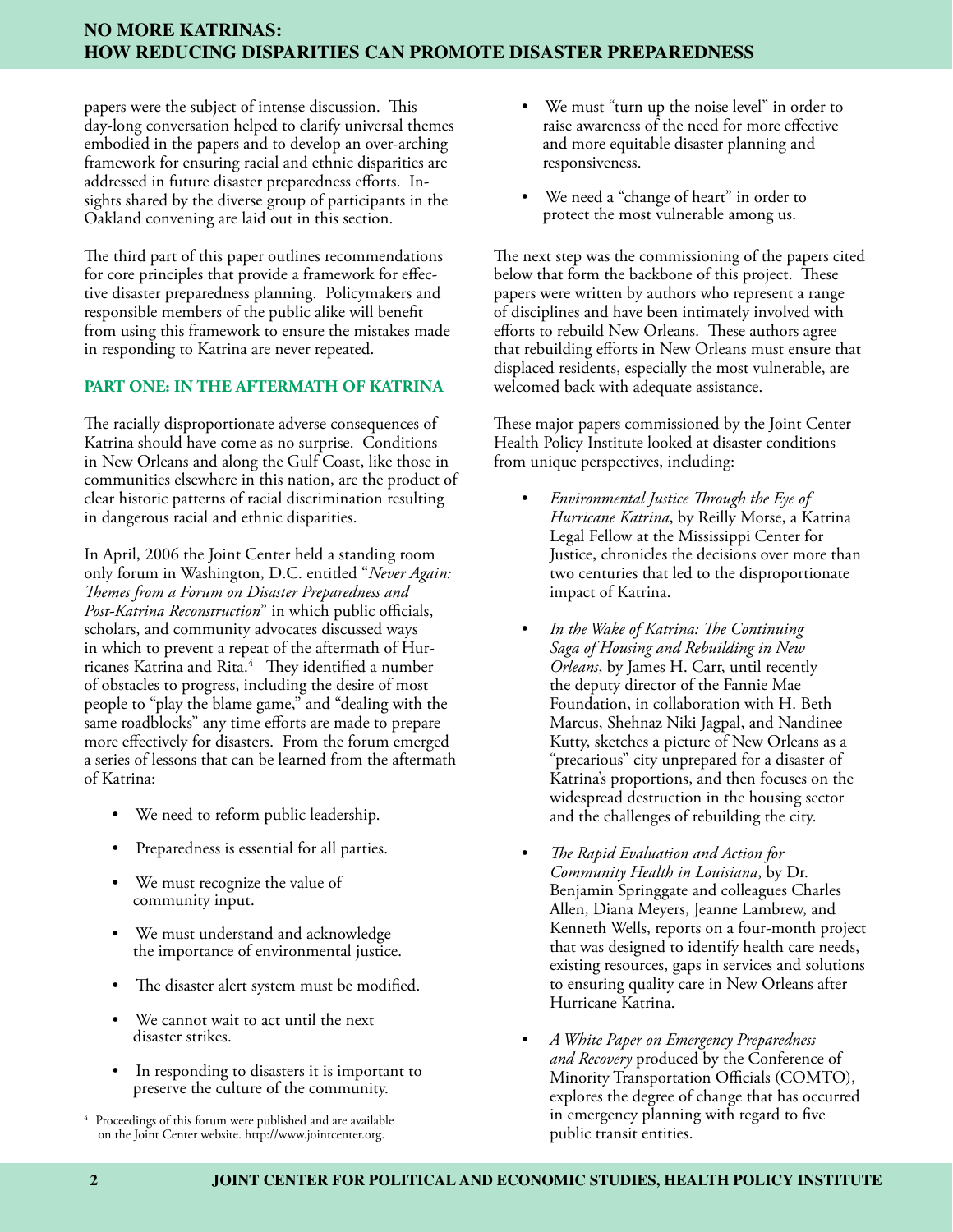papers were the subject of intense discussion. This day-long conversation helped to clarify universal themes embodied in the papers and to develop an over-arching framework for ensuring racial and ethnic disparities are addressed in future disaster preparedness efforts. Insights shared by the diverse group of participants in the Oakland convening are laid out in this section.

The third part of this paper outlines recommendations for core principles that provide a framework for effective disaster preparedness planning. Policymakers and responsible members of the public alike will benefit from using this framework to ensure the mistakes made in responding to Katrina are never repeated.

# **PART ONE: IN THE AFTERMATH OF KATRINA**

The racially disproportionate adverse consequences of Katrina should have come as no surprise. Conditions in New Orleans and along the Gulf Coast, like those in communities elsewhere in this nation, are the product of clear historic patterns of racial discrimination resulting in dangerous racial and ethnic disparities.

In April, 2006 the Joint Center held a standing room only forum in Washington, D.C. entitled "*Never Again: Themes from a Forum on Disaster Preparedness and Post-Katrina Reconstruction*" in which public officials, scholars, and community advocates discussed ways in which to prevent a repeat of the aftermath of Hurricanes Katrina and Rita.4 They identified a number of obstacles to progress, including the desire of most people to "play the blame game," and "dealing with the same roadblocks" any time efforts are made to prepare more effectively for disasters. From the forum emerged a series of lessons that can be learned from the aftermath of Katrina:

- We need to reform public leadership.
- Preparedness is essential for all parties.
- We must recognize the value of community input.
- We must understand and acknowledge the importance of environmental justice.
- The disaster alert system must be modified.
- We cannot wait to act until the next disaster strikes.
- In responding to disasters it is important to preserve the culture of the community.
- We must "turn up the noise level" in order to raise awareness of the need for more effective and more equitable disaster planning and responsiveness.
- We need a "change of heart" in order to protect the most vulnerable among us.

The next step was the commissioning of the papers cited below that form the backbone of this project. These papers were written by authors who represent a range of disciplines and have been intimately involved with efforts to rebuild New Orleans. These authors agree that rebuilding efforts in New Orleans must ensure that displaced residents, especially the most vulnerable, are welcomed back with adequate assistance.

These major papers commissioned by the Joint Center Health Policy Institute looked at disaster conditions from unique perspectives, including:

- *Environmental Justice Through the Eye of Hurricane Katrina*, by Reilly Morse, a Katrina Legal Fellow at the Mississippi Center for Justice, chronicles the decisions over more than two centuries that led to the disproportionate impact of Katrina.
- *In the Wake of Katrina: The Continuing Saga of Housing and Rebuilding in New Orleans*, by James H. Carr, until recently the deputy director of the Fannie Mae Foundation, in collaboration with H. Beth Marcus, Shehnaz Niki Jagpal, and Nandinee Kutty, sketches a picture of New Orleans as a "precarious" city unprepared for a disaster of Katrina's proportions, and then focuses on the widespread destruction in the housing sector and the challenges of rebuilding the city.
- *The Rapid Evaluation and Action for Community Health in Louisiana*, by Dr. Benjamin Springgate and colleagues Charles Allen, Diana Meyers, Jeanne Lambrew, and Kenneth Wells, reports on a four-month project that was designed to identify health care needs, existing resources, gaps in services and solutions to ensuring quality care in New Orleans after Hurricane Katrina.
- *A White Paper on Emergency Preparedness and Recovery* produced by the Conference of Minority Transportation Officials (COMTO), explores the degree of change that has occurred in emergency planning with regard to five public transit entities.

<sup>4</sup> Proceedings of this forum were published and are available on the Joint Center website. http://www.jointcenter.org.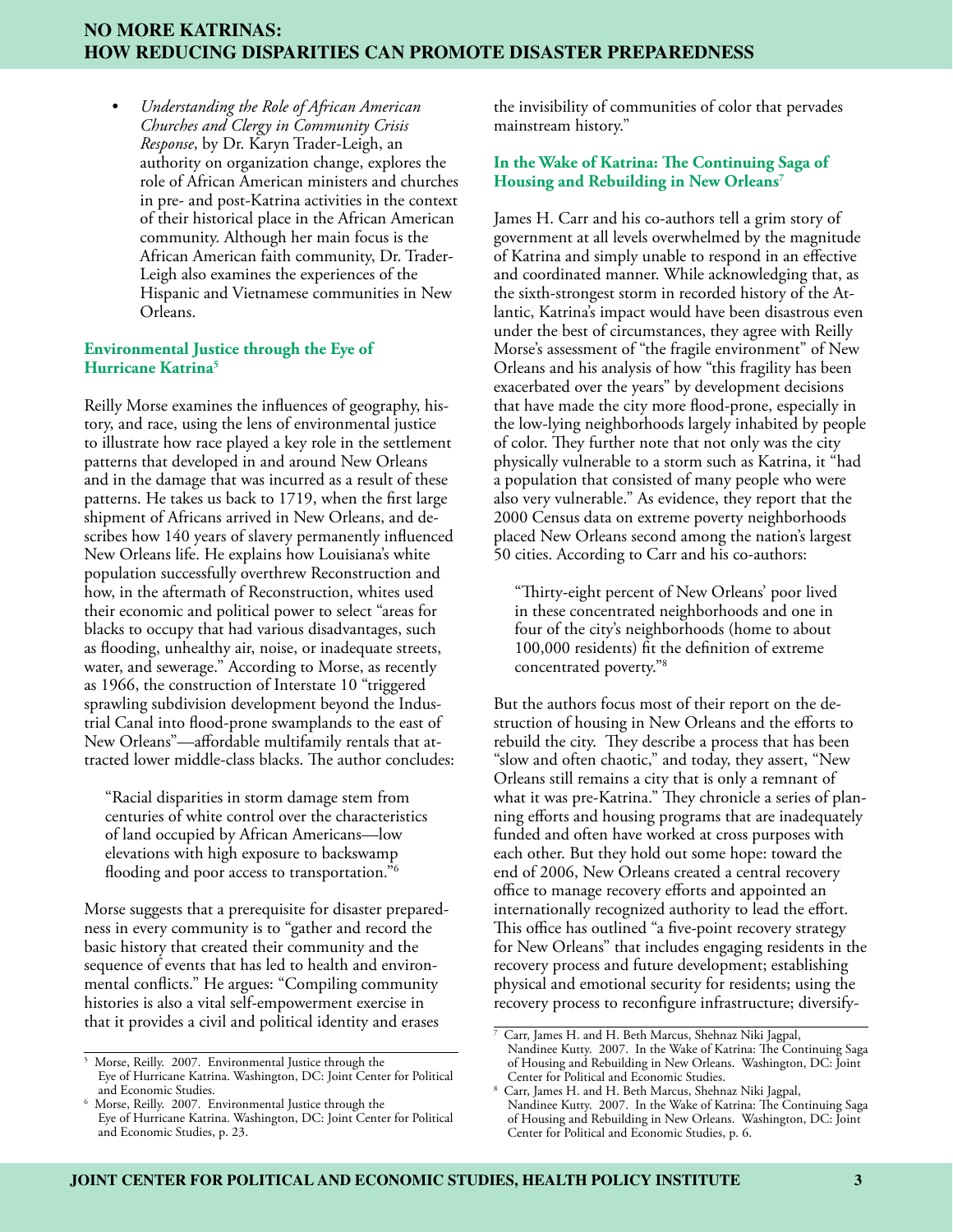• *Understanding the Role of African American Churches and Clergy in Community Crisis Response*, by Dr. Karyn Trader-Leigh, an authority on organization change, explores the role of African American ministers and churches in pre- and post-Katrina activities in the context of their historical place in the African American community. Although her main focus is the African American faith community, Dr. Trader-Leigh also examines the experiences of the Hispanic and Vietnamese communities in New Orleans.

#### **Environmental Justice through the Eye of Hurricane Katrina5**

Reilly Morse examines the influences of geography, history, and race, using the lens of environmental justice to illustrate how race played a key role in the settlement patterns that developed in and around New Orleans and in the damage that was incurred as a result of these patterns. He takes us back to 1719, when the first large shipment of Africans arrived in New Orleans, and describes how 140 years of slavery permanently influenced New Orleans life. He explains how Louisiana's white population successfully overthrew Reconstruction and how, in the aftermath of Reconstruction, whites used their economic and political power to select "areas for blacks to occupy that had various disadvantages, such as flooding, unhealthy air, noise, or inadequate streets, water, and sewerage." According to Morse, as recently as 1966, the construction of Interstate 10 "triggered sprawling subdivision development beyond the Industrial Canal into flood-prone swamplands to the east of New Orleans"—affordable multifamily rentals that attracted lower middle-class blacks. The author concludes:

"Racial disparities in storm damage stem from centuries of white control over the characteristics of land occupied by African Americans—low elevations with high exposure to backswamp flooding and poor access to transportation."<sup>6</sup>

Morse suggests that a prerequisite for disaster preparedness in every community is to "gather and record the basic history that created their community and the sequence of events that has led to health and environmental conflicts." He argues: "Compiling community histories is also a vital self-empowerment exercise in that it provides a civil and political identity and erases

the invisibility of communities of color that pervades mainstream history."

## **In the Wake of Katrina: The Continuing Saga of Housing and Rebuilding in New Orleans7**

James H. Carr and his co-authors tell a grim story of government at all levels overwhelmed by the magnitude of Katrina and simply unable to respond in an effective and coordinated manner. While acknowledging that, as the sixth-strongest storm in recorded history of the Atlantic, Katrina's impact would have been disastrous even under the best of circumstances, they agree with Reilly Morse's assessment of "the fragile environment" of New Orleans and his analysis of how "this fragility has been exacerbated over the years" by development decisions that have made the city more flood-prone, especially in the low-lying neighborhoods largely inhabited by people of color. They further note that not only was the city physically vulnerable to a storm such as Katrina, it "had a population that consisted of many people who were also very vulnerable." As evidence, they report that the 2000 Census data on extreme poverty neighborhoods placed New Orleans second among the nation's largest 50 cities. According to Carr and his co-authors:

"Thirty-eight percent of New Orleans' poor lived in these concentrated neighborhoods and one in four of the city's neighborhoods (home to about 100,000 residents) fit the definition of extreme concentrated poverty."8

But the authors focus most of their report on the destruction of housing in New Orleans and the efforts to rebuild the city. They describe a process that has been "slow and often chaotic," and today, they assert, "New Orleans still remains a city that is only a remnant of what it was pre-Katrina." They chronicle a series of planning efforts and housing programs that are inadequately funded and often have worked at cross purposes with each other. But they hold out some hope: toward the end of 2006, New Orleans created a central recovery office to manage recovery efforts and appointed an internationally recognized authority to lead the effort. This office has outlined "a five-point recovery strategy for New Orleans" that includes engaging residents in the recovery process and future development; establishing physical and emotional security for residents; using the recovery process to reconfigure infrastructure; diversify-

<sup>5</sup> Morse, Reilly. 2007. Environmental Justice through the Eye of Hurricane Katrina. Washington, DC: Joint Center for Political

and Economic Studies. 6 Morse, Reilly. 2007. Environmental Justice through the Eye of Hurricane Katrina. Washington, DC: Joint Center for Political and Economic Studies, p. 23.

<sup>7</sup> Carr, James H. and H. Beth Marcus, Shehnaz Niki Jagpal, Nandinee Kutty. 2007. In the Wake of Katrina: The Continuing Saga of Housing and Rebuilding in New Orleans. Washington, DC: Joint Center for Political and Economic Studies.

Carr, James H. and H. Beth Marcus, Shehnaz Niki Jagpal, Nandinee Kutty. 2007. In the Wake of Katrina: The Continuing Saga of Housing and Rebuilding in New Orleans. Washington, DC: Joint Center for Political and Economic Studies, p. 6.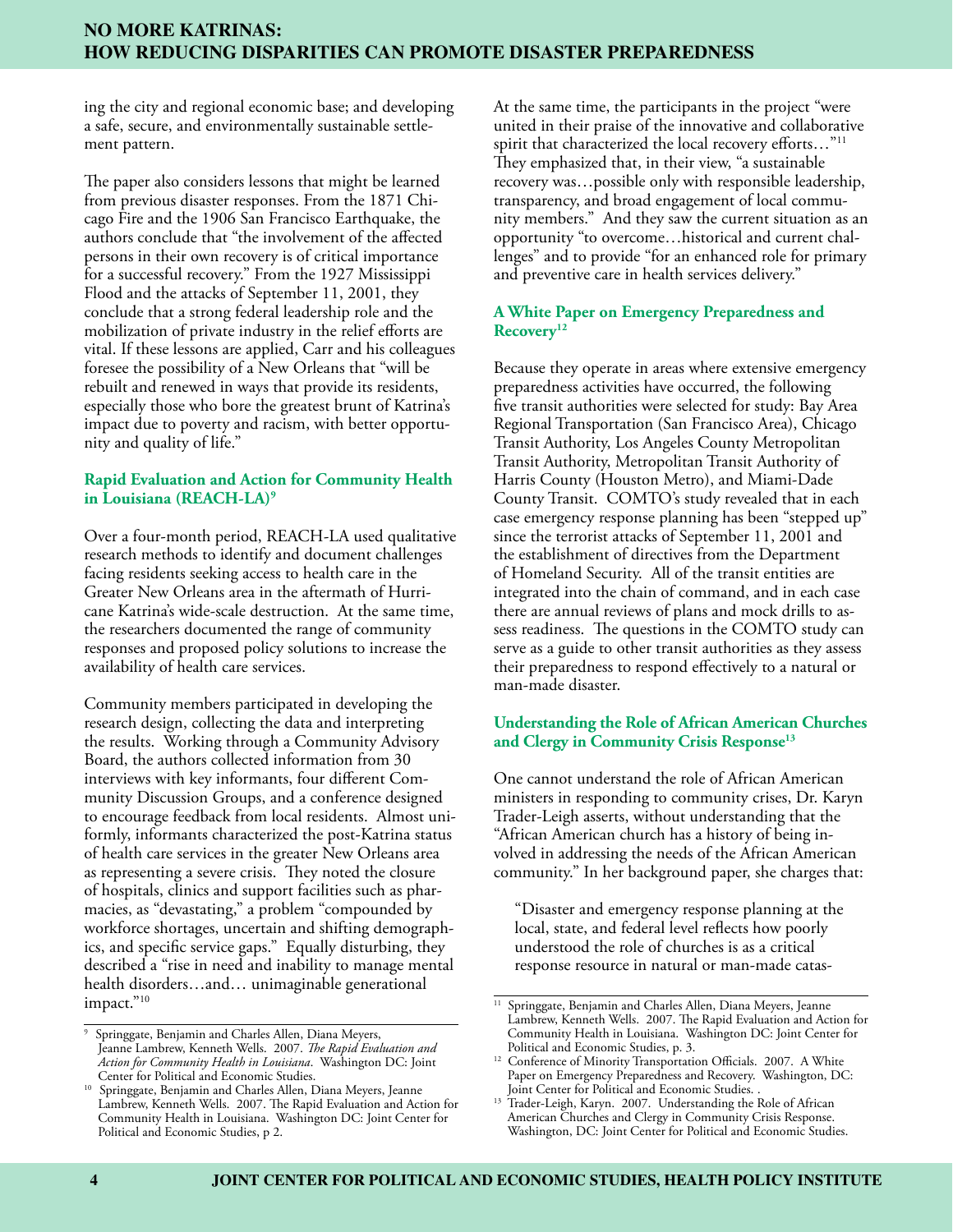ing the city and regional economic base; and developing a safe, secure, and environmentally sustainable settlement pattern.

The paper also considers lessons that might be learned from previous disaster responses. From the 1871 Chicago Fire and the 1906 San Francisco Earthquake, the authors conclude that "the involvement of the affected persons in their own recovery is of critical importance for a successful recovery." From the 1927 Mississippi Flood and the attacks of September 11, 2001, they conclude that a strong federal leadership role and the mobilization of private industry in the relief efforts are vital. If these lessons are applied, Carr and his colleagues foresee the possibility of a New Orleans that "will be rebuilt and renewed in ways that provide its residents, especially those who bore the greatest brunt of Katrina's impact due to poverty and racism, with better opportunity and quality of life."

## **Rapid Evaluation and Action for Community Health in Louisiana (REACH-LA)9**

Over a four-month period, REACH-LA used qualitative research methods to identify and document challenges facing residents seeking access to health care in the Greater New Orleans area in the aftermath of Hurricane Katrina's wide-scale destruction. At the same time, the researchers documented the range of community responses and proposed policy solutions to increase the availability of health care services.

Community members participated in developing the research design, collecting the data and interpreting the results. Working through a Community Advisory Board, the authors collected information from 30 interviews with key informants, four different Community Discussion Groups, and a conference designed to encourage feedback from local residents. Almost uniformly, informants characterized the post-Katrina status of health care services in the greater New Orleans area as representing a severe crisis. They noted the closure of hospitals, clinics and support facilities such as pharmacies, as "devastating," a problem "compounded by workforce shortages, uncertain and shifting demographics, and specific service gaps." Equally disturbing, they described a "rise in need and inability to manage mental health disorders…and… unimaginable generational impact."<sup>10</sup>

At the same time, the participants in the project "were united in their praise of the innovative and collaborative spirit that characterized the local recovery efforts..."<sup>11</sup> They emphasized that, in their view, "a sustainable recovery was…possible only with responsible leadership, transparency, and broad engagement of local community members." And they saw the current situation as an opportunity "to overcome…historical and current challenges" and to provide "for an enhanced role for primary and preventive care in health services delivery."

## **A White Paper on Emergency Preparedness and Recovery12**

Because they operate in areas where extensive emergency preparedness activities have occurred, the following five transit authorities were selected for study: Bay Area Regional Transportation (San Francisco Area), Chicago Transit Authority, Los Angeles County Metropolitan Transit Authority, Metropolitan Transit Authority of Harris County (Houston Metro), and Miami-Dade County Transit. COMTO's study revealed that in each case emergency response planning has been "stepped up" since the terrorist attacks of September 11, 2001 and the establishment of directives from the Department of Homeland Security. All of the transit entities are integrated into the chain of command, and in each case there are annual reviews of plans and mock drills to assess readiness. The questions in the COMTO study can serve as a guide to other transit authorities as they assess their preparedness to respond effectively to a natural or man-made disaster.

# **Understanding the Role of African American Churches and Clergy in Community Crisis Response13**

One cannot understand the role of African American ministers in responding to community crises, Dr. Karyn Trader-Leigh asserts, without understanding that the "African American church has a history of being involved in addressing the needs of the African American community." In her background paper, she charges that:

"Disaster and emergency response planning at the local, state, and federal level reflects how poorly understood the role of churches is as a critical response resource in natural or man-made catas-

Springgate, Benjamin and Charles Allen, Diana Meyers, Jeanne Lambrew, Kenneth Wells. 2007. *The Rapid Evaluation and Action for Community Health in Louisiana*. Washington DC: Joint Center for Political and Economic Studies.

<sup>10</sup> Springgate, Benjamin and Charles Allen, Diana Meyers, Jeanne Lambrew, Kenneth Wells. 2007. The Rapid Evaluation and Action for Community Health in Louisiana. Washington DC: Joint Center for Political and Economic Studies, p 2.

<sup>&</sup>lt;sup>11</sup> Springgate, Benjamin and Charles Allen, Diana Meyers, Jeanne Lambrew, Kenneth Wells. 2007. The Rapid Evaluation and Action for Community Health in Louisiana. Washington DC: Joint Center for Political and Economic Studies, p. 3.

<sup>&</sup>lt;sup>12</sup> Conference of Minority Transportation Officials. 2007. A White Paper on Emergency Preparedness and Recovery. Washington, DC: Joint Center for Political and Economic Studies. .

<sup>&</sup>lt;sup>13</sup> Trader-Leigh, Karyn. 2007. Understanding the Role of African American Churches and Clergy in Community Crisis Response. Washington, DC: Joint Center for Political and Economic Studies.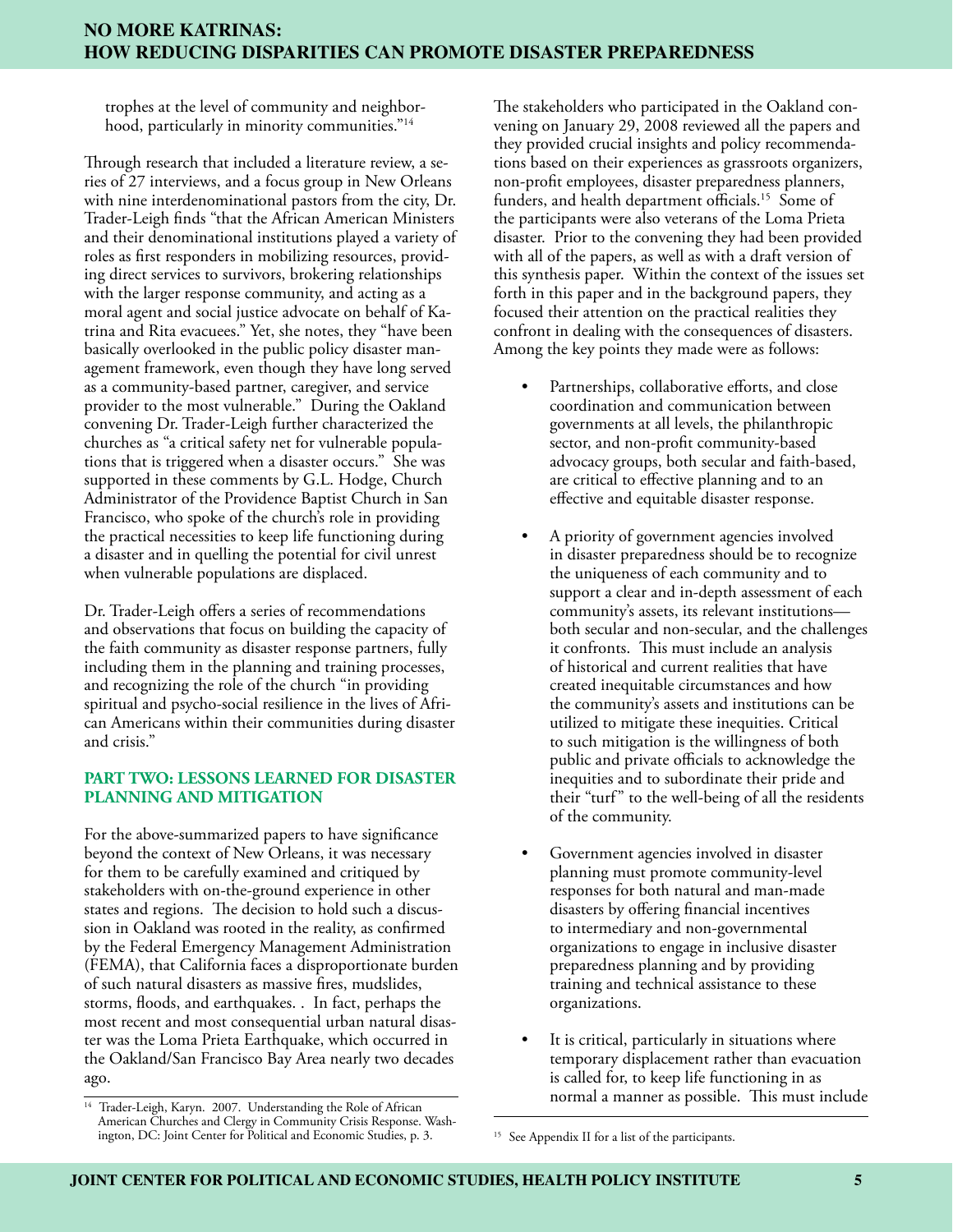trophes at the level of community and neighborhood, particularly in minority communities."<sup>14</sup>

Through research that included a literature review, a series of 27 interviews, and a focus group in New Orleans with nine interdenominational pastors from the city, Dr. Trader-Leigh finds "that the African American Ministers and their denominational institutions played a variety of roles as first responders in mobilizing resources, providing direct services to survivors, brokering relationships with the larger response community, and acting as a moral agent and social justice advocate on behalf of Katrina and Rita evacuees." Yet, she notes, they "have been basically overlooked in the public policy disaster management framework, even though they have long served as a community-based partner, caregiver, and service provider to the most vulnerable." During the Oakland convening Dr. Trader-Leigh further characterized the churches as "a critical safety net for vulnerable populations that is triggered when a disaster occurs." She was supported in these comments by G.L. Hodge, Church Administrator of the Providence Baptist Church in San Francisco, who spoke of the church's role in providing the practical necessities to keep life functioning during a disaster and in quelling the potential for civil unrest when vulnerable populations are displaced.

Dr. Trader-Leigh offers a series of recommendations and observations that focus on building the capacity of the faith community as disaster response partners, fully including them in the planning and training processes, and recognizing the role of the church "in providing spiritual and psycho-social resilience in the lives of African Americans within their communities during disaster and crisis."

# **PART TWO: LESSONS LEARNED FOR DISASTER PLANNING AND MITIGATION**

For the above-summarized papers to have significance beyond the context of New Orleans, it was necessary for them to be carefully examined and critiqued by stakeholders with on-the-ground experience in other states and regions. The decision to hold such a discussion in Oakland was rooted in the reality, as confirmed by the Federal Emergency Management Administration (FEMA), that California faces a disproportionate burden of such natural disasters as massive fires, mudslides, storms, floods, and earthquakes. . In fact, perhaps the most recent and most consequential urban natural disaster was the Loma Prieta Earthquake, which occurred in the Oakland/San Francisco Bay Area nearly two decades ago.

The stakeholders who participated in the Oakland convening on January 29, 2008 reviewed all the papers and they provided crucial insights and policy recommendations based on their experiences as grassroots organizers, non-profit employees, disaster preparedness planners, funders, and health department officials.<sup>15</sup> Some of the participants were also veterans of the Loma Prieta disaster. Prior to the convening they had been provided with all of the papers, as well as with a draft version of this synthesis paper. Within the context of the issues set forth in this paper and in the background papers, they focused their attention on the practical realities they confront in dealing with the consequences of disasters. Among the key points they made were as follows:

- Partnerships, collaborative efforts, and close coordination and communication between governments at all levels, the philanthropic sector, and non-profit community-based advocacy groups, both secular and faith-based, are critical to effective planning and to an effective and equitable disaster response.
- A priority of government agencies involved in disaster preparedness should be to recognize the uniqueness of each community and to support a clear and in-depth assessment of each community's assets, its relevant institutions both secular and non-secular, and the challenges it confronts. This must include an analysis of historical and current realities that have created inequitable circumstances and how the community's assets and institutions can be utilized to mitigate these inequities. Critical to such mitigation is the willingness of both public and private officials to acknowledge the inequities and to subordinate their pride and their "turf" to the well-being of all the residents of the community.
- Government agencies involved in disaster planning must promote community-level responses for both natural and man-made disasters by offering financial incentives to intermediary and non-governmental organizations to engage in inclusive disaster preparedness planning and by providing training and technical assistance to these organizations.
- It is critical, particularly in situations where temporary displacement rather than evacuation is called for, to keep life functioning in as

<sup>&</sup>lt;sup>14</sup> Trader-Leigh, Karyn. 2007. Understanding the Role of African **14 Concrete 14 Trader-Leigh, Karyn. 2007.** Understanding the Role of African American Churches and Clergy in Community Crisis Response. Washington, DC: Joint Center for Political and Economic Studies, p. 3. 15 See Appendix II for a list of the participants.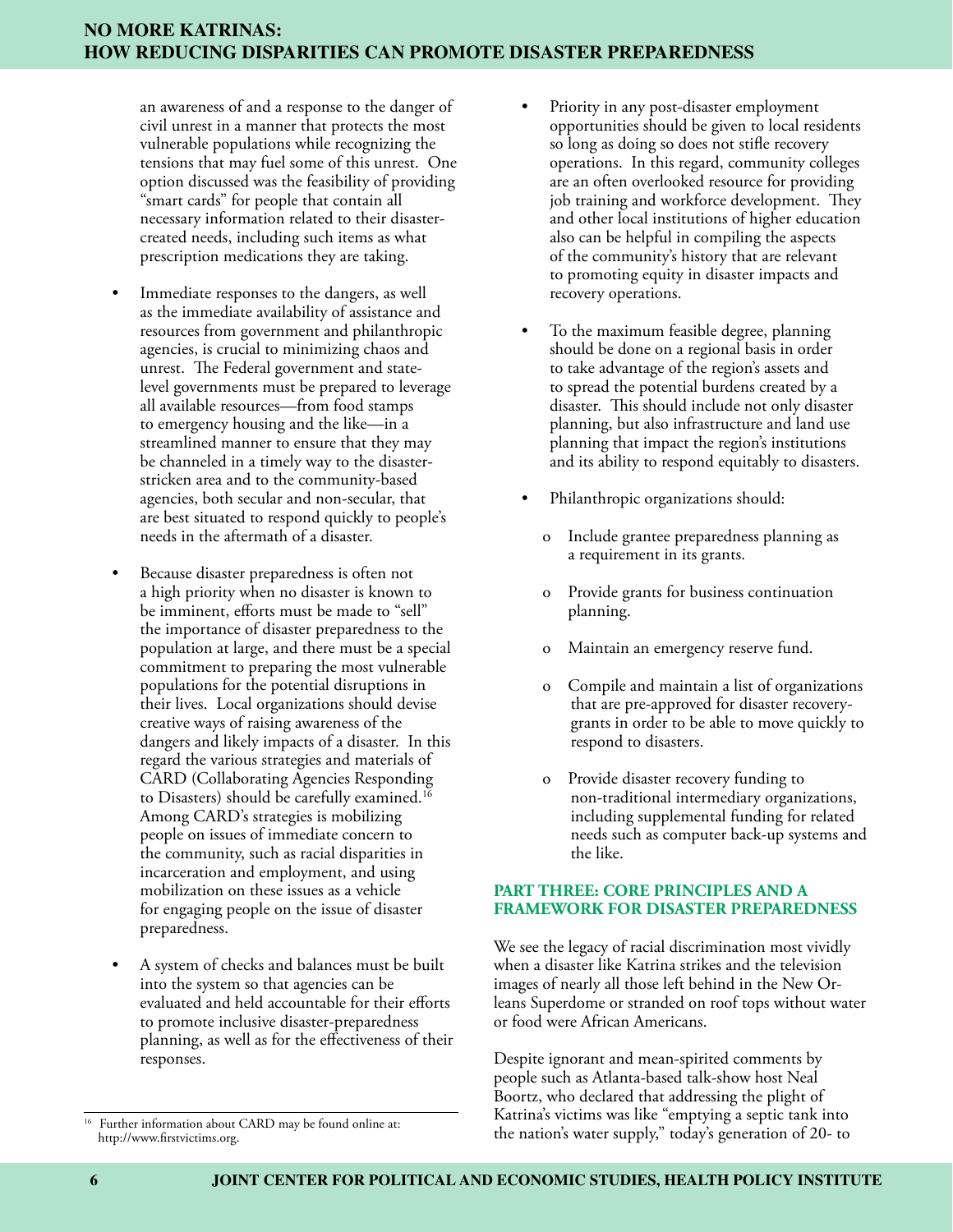an awareness of and a response to the danger of civil unrest in a manner that protects the most vulnerable populations while recognizing the tensions that may fuel some of this unrest. One option discussed was the feasibility of providing "smart cards" for people that contain all necessary information related to their disastercreated needs, including such items as what prescription medications they are taking.

- Immediate responses to the dangers, as well as the immediate availability of assistance and resources from government and philanthropic agencies, is crucial to minimizing chaos and unrest. The Federal government and statelevel governments must be prepared to leverage all available resources—from food stamps to emergency housing and the like—in a streamlined manner to ensure that they may be channeled in a timely way to the disasterstricken area and to the community-based agencies, both secular and non-secular, that are best situated to respond quickly to people's needs in the aftermath of a disaster.
- Because disaster preparedness is often not a high priority when no disaster is known to be imminent, efforts must be made to "sell" the importance of disaster preparedness to the population at large, and there must be a special commitment to preparing the most vulnerable populations for the potential disruptions in their lives. Local organizations should devise creative ways of raising awareness of the dangers and likely impacts of a disaster. In this regard the various strategies and materials of CARD (Collaborating Agencies Responding to Disasters) should be carefully examined.16 Among CARD's strategies is mobilizing people on issues of immediate concern to the community, such as racial disparities in incarceration and employment, and using mobilization on these issues as a vehicle for engaging people on the issue of disaster preparedness.
- A system of checks and balances must be built into the system so that agencies can be evaluated and held accountable for their efforts to promote inclusive disaster-preparedness planning, as well as for the effectiveness of their responses.
- Priority in any post-disaster employment opportunities should be given to local residents so long as doing so does not stifle recovery operations. In this regard, community colleges are an often overlooked resource for providing job training and workforce development. They and other local institutions of higher education also can be helpful in compiling the aspects of the community's history that are relevant to promoting equity in disaster impacts and recovery operations.
- To the maximum feasible degree, planning should be done on a regional basis in order to take advantage of the region's assets and to spread the potential burdens created by a disaster. This should include not only disaster planning, but also infrastructure and land use planning that impact the region's institutions and its ability to respond equitably to disasters.
- Philanthropic organizations should:
	- o Include grantee preparedness planning as a requirement in its grants.
	- o Provide grants for business continuation planning.
	- o Maintain an emergency reserve fund.
	- o Compile and maintain a list of organizations that are pre-approved for disaster recoverygrants in order to be able to move quickly to respond to disasters.
	- Provide disaster recovery funding to non-traditional intermediary organizations, including supplemental funding for related needs such as computer back-up systems and the like.

# **PART THREE: CORE PRINCIPLES AND A FRAMEWORK FOR DISASTER PREPAREDNESS**

We see the legacy of racial discrimination most vividly when a disaster like Katrina strikes and the television images of nearly all those left behind in the New Orleans Superdome or stranded on roof tops without water or food were African Americans.

Despite ignorant and mean-spirited comments by people such as Atlanta-based talk-show host Neal Boortz, who declared that addressing the plight of Katrina's victims was like "emptying a septic tank into <sup>16</sup> Further information about CARD may be found online at:<br>http://www.firstvictims.org. http://www.firstvictims.org.

http://www.firstvictims.org.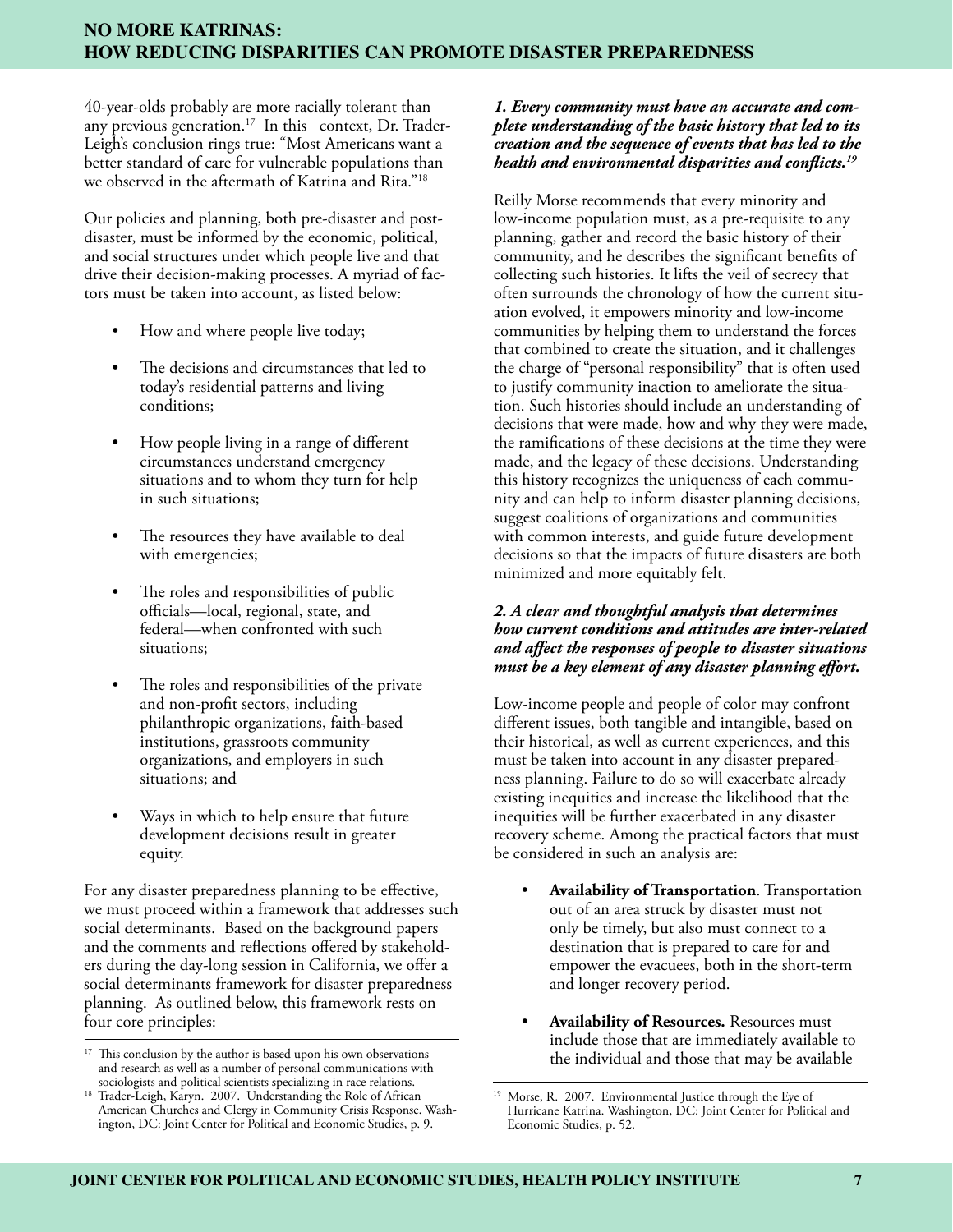40-year-olds probably are more racially tolerant than any previous generation.<sup>17</sup> In this context, Dr. Trader-Leigh's conclusion rings true: "Most Americans want a better standard of care for vulnerable populations than we observed in the aftermath of Katrina and Rita."18

Our policies and planning, both pre-disaster and postdisaster, must be informed by the economic, political, and social structures under which people live and that drive their decision-making processes. A myriad of factors must be taken into account, as listed below:

- How and where people live today;
- The decisions and circumstances that led to today's residential patterns and living conditions;
- How people living in a range of different circumstances understand emergency situations and to whom they turn for help in such situations;
- The resources they have available to deal with emergencies;
- The roles and responsibilities of public officials—local, regional, state, and federal—when confronted with such situations;
- The roles and responsibilities of the private and non-profit sectors, including philanthropic organizations, faith-based institutions, grassroots community organizations, and employers in such situations; and
- Ways in which to help ensure that future development decisions result in greater equity.

For any disaster preparedness planning to be effective, we must proceed within a framework that addresses such social determinants. Based on the background papers and the comments and reflections offered by stakeholders during the day-long session in California, we offer a social determinants framework for disaster preparedness planning. As outlined below, this framework rests on four core principles:

## *1. Every community must have an accurate and complete understanding of the basic history that led to its creation and the sequence of events that has led to the health and environmental disparities and conflicts.19*

Reilly Morse recommends that every minority and low-income population must, as a pre-requisite to any planning, gather and record the basic history of their community, and he describes the significant benefits of collecting such histories. It lifts the veil of secrecy that often surrounds the chronology of how the current situation evolved, it empowers minority and low-income communities by helping them to understand the forces that combined to create the situation, and it challenges the charge of "personal responsibility" that is often used to justify community inaction to ameliorate the situation. Such histories should include an understanding of decisions that were made, how and why they were made, the ramifications of these decisions at the time they were made, and the legacy of these decisions. Understanding this history recognizes the uniqueness of each community and can help to inform disaster planning decisions, suggest coalitions of organizations and communities with common interests, and guide future development decisions so that the impacts of future disasters are both minimized and more equitably felt.

## *2. A clear and thoughtful analysis that determines how current conditions and attitudes are inter-related and affect the responses of people to disaster situations must be a key element of any disaster planning effort.*

Low-income people and people of color may confront different issues, both tangible and intangible, based on their historical, as well as current experiences, and this must be taken into account in any disaster preparedness planning. Failure to do so will exacerbate already existing inequities and increase the likelihood that the inequities will be further exacerbated in any disaster recovery scheme. Among the practical factors that must be considered in such an analysis are:

- **Availability of Transportation**. Transportation out of an area struck by disaster must not only be timely, but also must connect to a destination that is prepared to care for and empower the evacuees, both in the short-term and longer recovery period.
- **Availability of Resources.** Resources must include those that are immediately available to the individual and those that may be available

<sup>&</sup>lt;sup>17</sup> This conclusion by the author is based upon his own observations and research as well as a number of personal communications with sociologists and political scientists specializing in race relations.

<sup>&</sup>lt;sup>18</sup> Trader-Leigh, Karyn. 2007. Understanding the Role of African American Churches and Clergy in Community Crisis Response. Washington, DC: Joint Center for Political and Economic Studies, p. 9.

Morse, R. 2007. Environmental Justice through the Eye of Hurricane Katrina. Washington, DC: Joint Center for Political and Economic Studies, p. 52.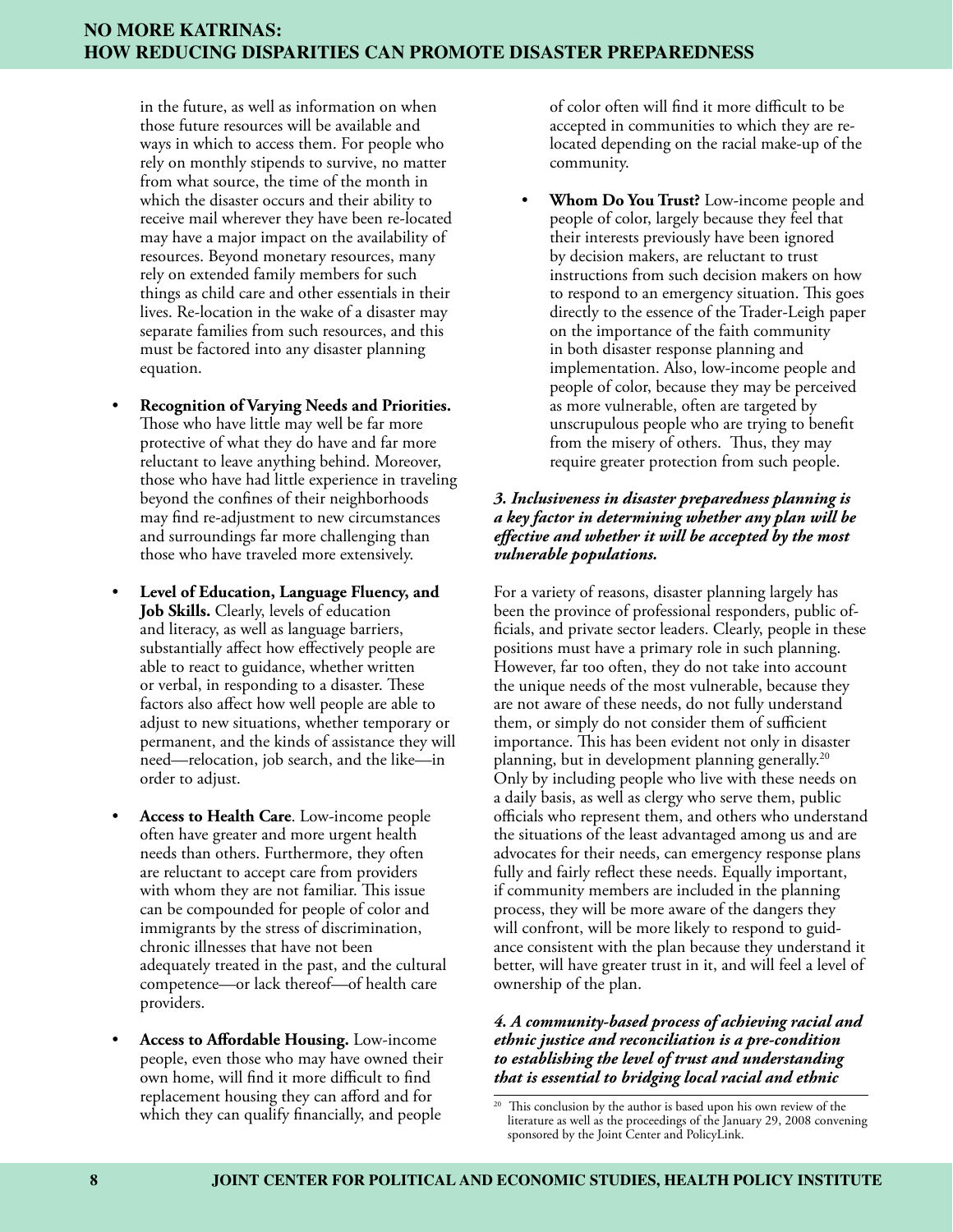in the future, as well as information on when those future resources will be available and ways in which to access them. For people who rely on monthly stipends to survive, no matter from what source, the time of the month in which the disaster occurs and their ability to receive mail wherever they have been re-located may have a major impact on the availability of resources. Beyond monetary resources, many rely on extended family members for such things as child care and other essentials in their lives. Re-location in the wake of a disaster may separate families from such resources, and this must be factored into any disaster planning equation.

- **Recognition of Varying Needs and Priorities.** Those who have little may well be far more protective of what they do have and far more reluctant to leave anything behind. Moreover, those who have had little experience in traveling beyond the confines of their neighborhoods may find re-adjustment to new circumstances and surroundings far more challenging than those who have traveled more extensively.
- **Level of Education, Language Fluency, and Job Skills.** Clearly, levels of education and literacy, as well as language barriers, substantially affect how effectively people are able to react to guidance, whether written or verbal, in responding to a disaster. These factors also affect how well people are able to adjust to new situations, whether temporary or permanent, and the kinds of assistance they will need—relocation, job search, and the like—in order to adjust.
- **Access to Health Care**. Low-income people often have greater and more urgent health needs than others. Furthermore, they often are reluctant to accept care from providers with whom they are not familiar. This issue can be compounded for people of color and immigrants by the stress of discrimination, chronic illnesses that have not been adequately treated in the past, and the cultural competence—or lack thereof—of health care providers.
- **Access to Affordable Housing.** Low-income people, even those who may have owned their own home, will find it more difficult to find replacement housing they can afford and for which they can qualify financially, and people

of color often will find it more difficult to be accepted in communities to which they are relocated depending on the racial make-up of the community.

• **Whom Do You Trust?** Low-income people and people of color, largely because they feel that their interests previously have been ignored by decision makers, are reluctant to trust instructions from such decision makers on how to respond to an emergency situation. This goes directly to the essence of the Trader-Leigh paper on the importance of the faith community in both disaster response planning and implementation. Also, low-income people and people of color, because they may be perceived as more vulnerable, often are targeted by unscrupulous people who are trying to benefit from the misery of others. Thus, they may require greater protection from such people.

## *3. Inclusiveness in disaster preparedness planning is a key factor in determining whether any plan will be effective and whether it will be accepted by the most vulnerable populations.*

For a variety of reasons, disaster planning largely has been the province of professional responders, public officials, and private sector leaders. Clearly, people in these positions must have a primary role in such planning. However, far too often, they do not take into account the unique needs of the most vulnerable, because they are not aware of these needs, do not fully understand them, or simply do not consider them of sufficient importance. This has been evident not only in disaster planning, but in development planning generally.<sup>20</sup> Only by including people who live with these needs on a daily basis, as well as clergy who serve them, public officials who represent them, and others who understand the situations of the least advantaged among us and are advocates for their needs, can emergency response plans fully and fairly reflect these needs. Equally important, if community members are included in the planning process, they will be more aware of the dangers they will confront, will be more likely to respond to guidance consistent with the plan because they understand it better, will have greater trust in it, and will feel a level of ownership of the plan.

## *4. A community-based process of achieving racial and ethnic justice and reconciliation is a pre-condition to establishing the level of trust and understanding that is essential to bridging local racial and ethnic*

<sup>&</sup>lt;sup>20</sup> This conclusion by the author is based upon his own review of the literature as well as the proceedings of the January 29, 2008 convening sponsored by the Joint Center and PolicyLink.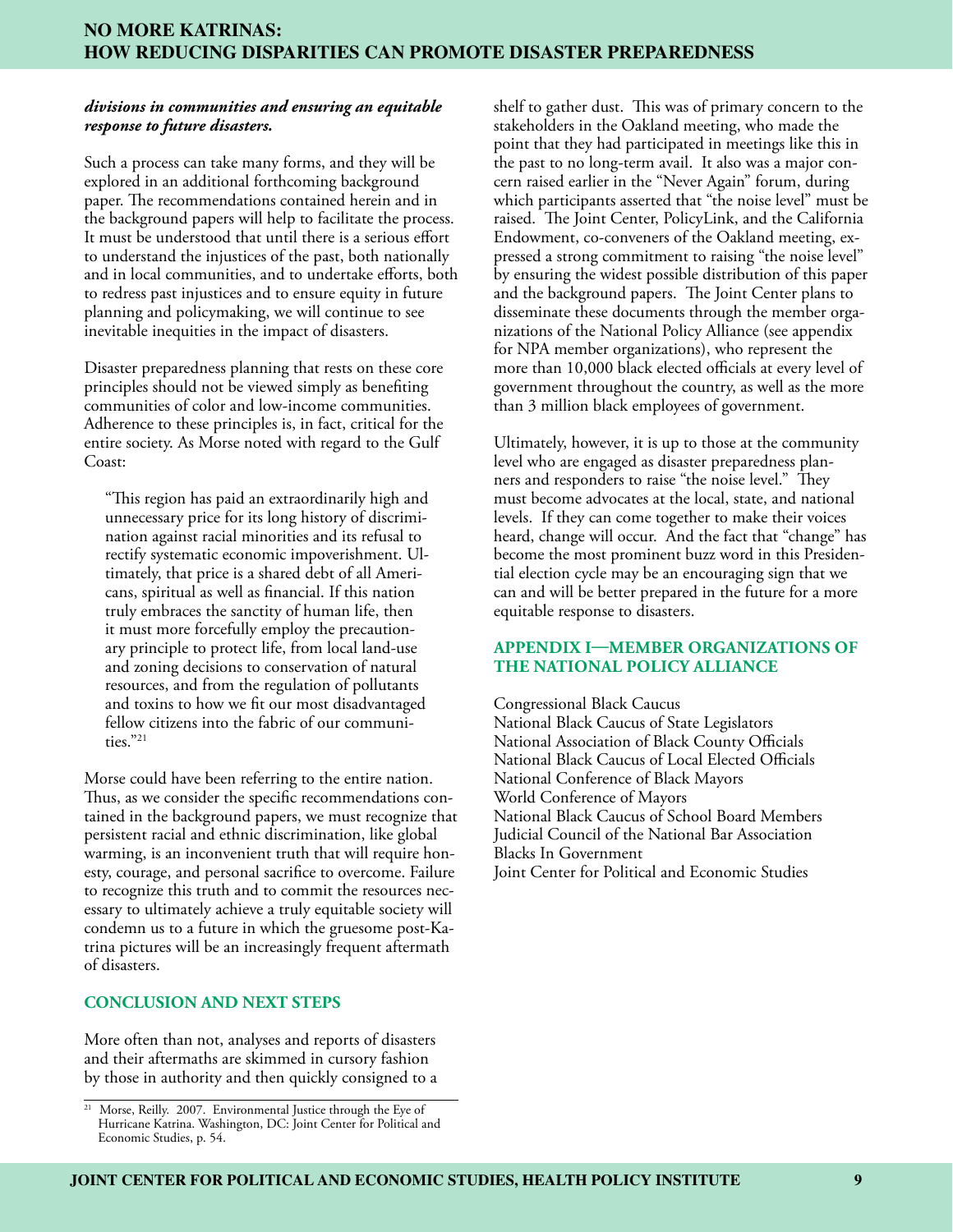#### *divisions in communities and ensuring an equitable response to future disasters.*

Such a process can take many forms, and they will be explored in an additional forthcoming background paper. The recommendations contained herein and in the background papers will help to facilitate the process. It must be understood that until there is a serious effort to understand the injustices of the past, both nationally and in local communities, and to undertake efforts, both to redress past injustices and to ensure equity in future planning and policymaking, we will continue to see inevitable inequities in the impact of disasters.

Disaster preparedness planning that rests on these core principles should not be viewed simply as benefiting communities of color and low-income communities. Adherence to these principles is, in fact, critical for the entire society. As Morse noted with regard to the Gulf Coast:

"This region has paid an extraordinarily high and unnecessary price for its long history of discrimination against racial minorities and its refusal to rectify systematic economic impoverishment. Ultimately, that price is a shared debt of all Americans, spiritual as well as financial. If this nation truly embraces the sanctity of human life, then it must more forcefully employ the precautionary principle to protect life, from local land-use and zoning decisions to conservation of natural resources, and from the regulation of pollutants and toxins to how we fit our most disadvantaged fellow citizens into the fabric of our communities."21

Morse could have been referring to the entire nation. Thus, as we consider the specific recommendations contained in the background papers, we must recognize that persistent racial and ethnic discrimination, like global warming, is an inconvenient truth that will require honesty, courage, and personal sacrifice to overcome. Failure to recognize this truth and to commit the resources necessary to ultimately achieve a truly equitable society will condemn us to a future in which the gruesome post-Katrina pictures will be an increasingly frequent aftermath of disasters.

## **CONCLUSION AND NEXT STEPS**

More often than not, analyses and reports of disasters and their aftermaths are skimmed in cursory fashion by those in authority and then quickly consigned to a shelf to gather dust. This was of primary concern to the stakeholders in the Oakland meeting, who made the point that they had participated in meetings like this in the past to no long-term avail. It also was a major concern raised earlier in the "Never Again" forum, during which participants asserted that "the noise level" must be raised. The Joint Center, PolicyLink, and the California Endowment, co-conveners of the Oakland meeting, expressed a strong commitment to raising "the noise level" by ensuring the widest possible distribution of this paper and the background papers. The Joint Center plans to disseminate these documents through the member organizations of the National Policy Alliance (see appendix for NPA member organizations), who represent the more than 10,000 black elected officials at every level of government throughout the country, as well as the more than 3 million black employees of government.

Ultimately, however, it is up to those at the community level who are engaged as disaster preparedness planners and responders to raise "the noise level." They must become advocates at the local, state, and national levels. If they can come together to make their voices heard, change will occur. And the fact that "change" has become the most prominent buzz word in this Presidential election cycle may be an encouraging sign that we can and will be better prepared in the future for a more equitable response to disasters.

#### **Appendix I—Member Organizations of the National Policy Alliance**

Congressional Black Caucus National Black Caucus of State Legislators National Association of Black County Officials National Black Caucus of Local Elected Officials National Conference of Black Mayors World Conference of Mayors National Black Caucus of School Board Members Judicial Council of the National Bar Association Blacks In Government Joint Center for Political and Economic Studies

<sup>&</sup>lt;sup>21</sup> Morse, Reilly. 2007. Environmental Justice through the Eye of Hurricane Katrina. Washington, DC: Joint Center for Political and Economic Studies, p. 54.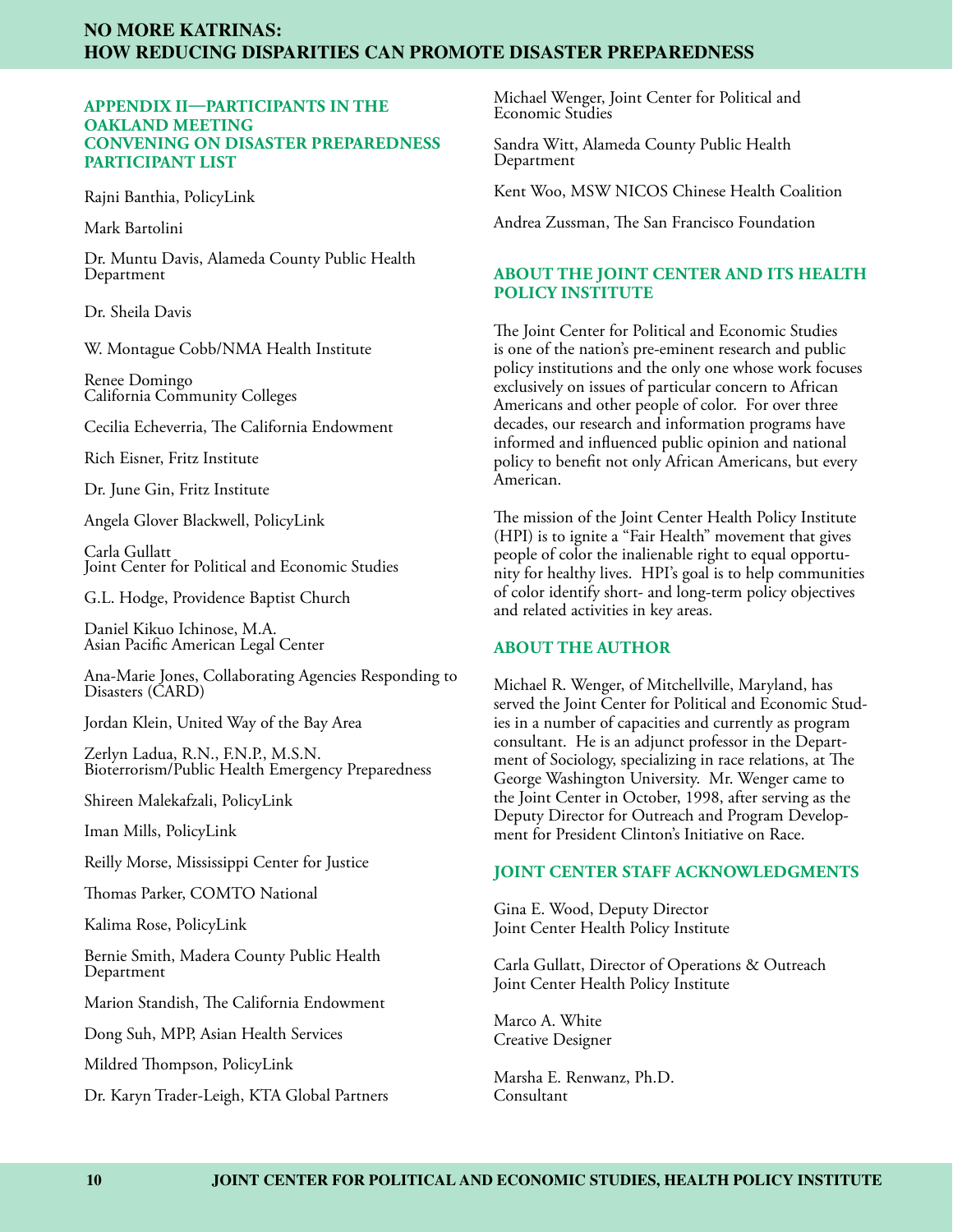#### **Appendix II—Participants in the Oakland Meeting Convening on Disaster Preparedness Participant List**

Rajni Banthia, PolicyLink

Mark Bartolini

Dr. Muntu Davis, Alameda County Public Health Department

Dr. Sheila Davis

W. Montague Cobb/NMA Health Institute

Renee Domingo California Community Colleges

Cecilia Echeverria, The California Endowment

Rich Eisner, Fritz Institute

Dr. June Gin, Fritz Institute

Angela Glover Blackwell, PolicyLink

Carla Gullatt Joint Center for Political and Economic Studies

G.L. Hodge, Providence Baptist Church

Daniel Kikuo Ichinose, M.A. Asian Pacific American Legal Center

Ana-Marie Jones, Collaborating Agencies Responding to Disasters (CARD)

Jordan Klein, United Way of the Bay Area

Zerlyn Ladua, R.N., F.N.P., M.S.N. Bioterrorism/Public Health Emergency Preparedness

Shireen Malekafzali, PolicyLink

Iman Mills, PolicyLink

Reilly Morse, Mississippi Center for Justice

Thomas Parker, COMTO National

Kalima Rose, PolicyLink

Bernie Smith, Madera County Public Health Department

Marion Standish, The California Endowment

Dong Suh, MPP, Asian Health Services

Mildred Thompson, PolicyLink

Dr. Karyn Trader-Leigh, KTA Global Partners

Michael Wenger, Joint Center for Political and Economic Studies

Sandra Witt, Alameda County Public Health Department

Kent Woo, MSW NICOS Chinese Health Coalition

Andrea Zussman, The San Francisco Foundation

#### **ABOUT THE JOINT CENTER AND ITS HEALTH POLICY INSTITUTE**

The Joint Center for Political and Economic Studies is one of the nation's pre-eminent research and public policy institutions and the only one whose work focuses exclusively on issues of particular concern to African Americans and other people of color. For over three decades, our research and information programs have informed and influenced public opinion and national policy to benefit not only African Americans, but every American.

The mission of the Joint Center Health Policy Institute (HPI) is to ignite a "Fair Health" movement that gives people of color the inalienable right to equal opportunity for healthy lives. HPI's goal is to help communities of color identify short- and long-term policy objectives and related activities in key areas.

#### **ABOUT THE AUTHOR**

Michael R. Wenger, of Mitchellville, Maryland, has served the Joint Center for Political and Economic Studies in a number of capacities and currently as program consultant. He is an adjunct professor in the Department of Sociology, specializing in race relations, at The George Washington University. Mr. Wenger came to the Joint Center in October, 1998, after serving as the Deputy Director for Outreach and Program Development for President Clinton's Initiative on Race.

#### **JOINT CENTER STAFF ACKNOWLEDGMENTS**

Gina E. Wood, Deputy Director Joint Center Health Policy Institute

Carla Gullatt, Director of Operations & Outreach Joint Center Health Policy Institute

Marco A. White Creative Designer

Marsha E. Renwanz, Ph.D. Consultant